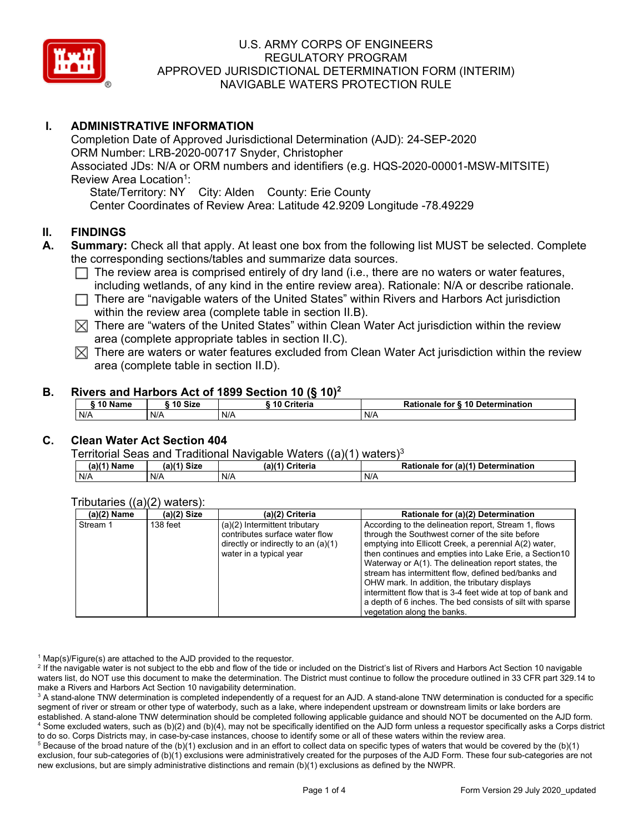

# **I. ADMINISTRATIVE INFORMATION**

Completion Date of Approved Jurisdictional Determination (AJD): 24-SEP-2020 ORM Number: LRB-2020-00717 Snyder, Christopher Associated JDs: N/A or ORM numbers and identifiers (e.g. HQS-2020-00001-MSW-MITSITE) Review Area Location<sup>1</sup>: State/Territory: NY City: Alden County: Erie County

Center Coordinates of Review Area: Latitude 42.9209 Longitude -78.49229

# **II. FINDINGS**

- **A. Summary:** Check all that apply. At least one box from the following list MUST be selected. Complete the corresponding sections/tables and summarize data sources.
	- $\Box$  The review area is comprised entirely of dry land (i.e., there are no waters or water features, including wetlands, of any kind in the entire review area). Rationale: N/A or describe rationale.
	- $\Box$  There are "navigable waters of the United States" within Rivers and Harbors Act jurisdiction within the review area (complete table in section II.B).
	- $\boxtimes$  There are "waters of the United States" within Clean Water Act jurisdiction within the review area (complete appropriate tables in section II.C).
	- $\boxtimes$  There are waters or water features excluded from Clean Water Act jurisdiction within the review area (complete table in section II.D).

## **B. Rivers and Harbors Act of 1899 Section 10 (§ 10)2**

| <b>S10 Name</b> | $^{\circ}$ 10 Size | ----<br><b>Sing Criteria</b> | Rationale for § 10 Determination |
|-----------------|--------------------|------------------------------|----------------------------------|
| N/A             | N/A                | N/A                          | N/A                              |

## **C. Clean Water Act Section 404**

Territorial Seas and Traditional Navigable Waters  $((a)(1)$  waters)<sup>3</sup>

| (a)(1) Name | (a)(4)<br><b>Size</b> | $(a)$ $(1)$<br>Criteria | (a)(1) Determination<br>Rationale<br>tor |
|-------------|-----------------------|-------------------------|------------------------------------------|
| N/A         | N/A                   | N/A                     | N/A                                      |

## Tributaries ((a)(2) waters):

| $(a)(2)$ Name | $(a)(2)$ Size | (a)(2) Criteria                     | Rationale for (a)(2) Determination                         |  |  |
|---------------|---------------|-------------------------------------|------------------------------------------------------------|--|--|
| Stream 1      | 138 feet      | $(a)(2)$ Intermittent tributary     | According to the delineation report, Stream 1, flows       |  |  |
|               |               | contributes surface water flow      | through the Southwest corner of the site before            |  |  |
|               |               | directly or indirectly to an (a)(1) | emptying into Ellicott Creek, a perennial A(2) water,      |  |  |
|               |               | water in a typical year             | then continues and empties into Lake Erie, a Section 10    |  |  |
|               |               |                                     | Waterway or A(1). The delineation report states, the       |  |  |
|               |               |                                     | stream has intermittent flow, defined bed/banks and        |  |  |
|               |               |                                     | OHW mark. In addition, the tributary displays              |  |  |
|               |               |                                     | intermittent flow that is 3-4 feet wide at top of bank and |  |  |
|               |               |                                     | a depth of 6 inches. The bed consists of silt with sparse  |  |  |
|               |               |                                     | vegetation along the banks.                                |  |  |

 $1$  Map(s)/Figure(s) are attached to the AJD provided to the requestor.

<sup>2</sup> If the navigable water is not subject to the ebb and flow of the tide or included on the District's list of Rivers and Harbors Act Section 10 navigable waters list, do NOT use this document to make the determination. The District must continue to follow the procedure outlined in 33 CFR part 329.14 to make a Rivers and Harbors Act Section 10 navigability determination.

<sup>3</sup> A stand-alone TNW determination is completed independently of a request for an AJD. A stand-alone TNW determination is conducted for a specific segment of river or stream or other type of waterbody, such as a lake, where independent upstream or downstream limits or lake borders are established. A stand-alone TNW determination should be completed following applicable guidance and should NOT be documented on the AJD form. <sup>4</sup> Some excluded waters, such as (b)(2) and (b)(4), may not be specifically identified on the AJD form unless a requestor specifically asks a Corps district to do so. Corps Districts may, in case-by-case instances, choose to identify some or all of these waters within the review area.

 $5$  Because of the broad nature of the (b)(1) exclusion and in an effort to collect data on specific types of waters that would be covered by the (b)(1) exclusion, four sub-categories of (b)(1) exclusions were administratively created for the purposes of the AJD Form. These four sub-categories are not new exclusions, but are simply administrative distinctions and remain (b)(1) exclusions as defined by the NWPR.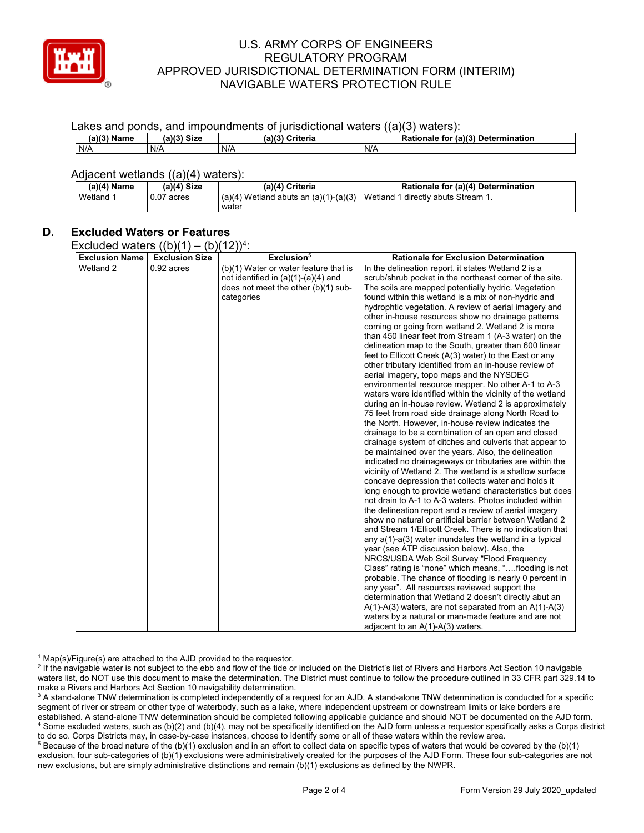

#### Lakes and ponds, and impoundments of jurisdictional waters  $((a)(3)$  waters):

| -----------   |               |                    | .<br>.                             |
|---------------|---------------|--------------------|------------------------------------|
| $(a)(3)$ Name | $(11/3)$ Size | (a)(3)<br>Criteria | Rationale for (a)(3) Determination |
| N/A           | N/A           | N/A                | N/A                                |

### Adjacent wetlands ((a)(4) waters):

| $(a)(4)$ Name | (a)(4) Size     | (a)(4) Criteria                                                                | Rationale for (a)(4) Determination |
|---------------|-----------------|--------------------------------------------------------------------------------|------------------------------------|
| Wetland 1     | 0.07<br>' acres | $(a)(4)$ Wetland abuts an $(a)(1)-(a)(3)$   Wetland 1 directly abuts Stream 1. |                                    |
|               |                 | water                                                                          |                                    |

# **D. Excluded Waters or Features**

Excluded waters  $((b)(1) - (b)(12))^{4}$ 

| <b>Exclusion Name</b> | <b>Exclusion Size</b> | Exclusion <sup>5</sup>                                                                                                              | <b>Rationale for Exclusion Determination</b>                                                                                                                                                                                                                                                                                                                                                                                                                                                                                                                                                                                                                                                                                                                                                                                                                                                                                                                                                                                                                                                                                                                                                                                                                                                                                                                                                                                                                                                                                                                                                                                                                                                                                                                                                                                                                                                                        |
|-----------------------|-----------------------|-------------------------------------------------------------------------------------------------------------------------------------|---------------------------------------------------------------------------------------------------------------------------------------------------------------------------------------------------------------------------------------------------------------------------------------------------------------------------------------------------------------------------------------------------------------------------------------------------------------------------------------------------------------------------------------------------------------------------------------------------------------------------------------------------------------------------------------------------------------------------------------------------------------------------------------------------------------------------------------------------------------------------------------------------------------------------------------------------------------------------------------------------------------------------------------------------------------------------------------------------------------------------------------------------------------------------------------------------------------------------------------------------------------------------------------------------------------------------------------------------------------------------------------------------------------------------------------------------------------------------------------------------------------------------------------------------------------------------------------------------------------------------------------------------------------------------------------------------------------------------------------------------------------------------------------------------------------------------------------------------------------------------------------------------------------------|
| Wetland 2             | $0.92$ acres          | (b)(1) Water or water feature that is<br>not identified in $(a)(1)-(a)(4)$ and<br>does not meet the other (b)(1) sub-<br>categories | In the delineation report, it states Wetland 2 is a<br>scrub/shrub pocket in the northeast corner of the site.<br>The soils are mapped potentially hydric. Vegetation<br>found within this wetland is a mix of non-hydric and<br>hydrophtic vegetation. A review of aerial imagery and<br>other in-house resources show no drainage patterns<br>coming or going from wetland 2. Wetland 2 is more<br>than 450 linear feet from Stream 1 (A-3 water) on the<br>delineation map to the South, greater than 600 linear<br>feet to Ellicott Creek (A(3) water) to the East or any<br>other tributary identified from an in-house review of<br>aerial imagery, topo maps and the NYSDEC<br>environmental resource mapper. No other A-1 to A-3<br>waters were identified within the vicinity of the wetland<br>during an in-house review. Wetland 2 is approximately<br>75 feet from road side drainage along North Road to<br>the North. However, in-house review indicates the<br>drainage to be a combination of an open and closed<br>drainage system of ditches and culverts that appear to<br>be maintained over the years. Also, the delineation<br>indicated no drainageways or tributaries are within the<br>vicinity of Wetland 2. The wetland is a shallow surface<br>concave depression that collects water and holds it<br>long enough to provide wetland characteristics but does<br>not drain to A-1 to A-3 waters. Photos included within<br>the delineation report and a review of aerial imagery<br>show no natural or artificial barrier between Wetland 2<br>and Stream 1/Ellicott Creek. There is no indication that<br>any $a(1)$ - $a(3)$ water inundates the wetland in a typical<br>year (see ATP discussion below). Also, the<br>NRCS/USDA Web Soil Survey "Flood Frequency<br>Class" rating is "none" which means, "flooding is not<br>probable. The chance of flooding is nearly 0 percent in |
|                       |                       |                                                                                                                                     | any year". All resources reviewed support the<br>determination that Wetland 2 doesn't directly abut an                                                                                                                                                                                                                                                                                                                                                                                                                                                                                                                                                                                                                                                                                                                                                                                                                                                                                                                                                                                                                                                                                                                                                                                                                                                                                                                                                                                                                                                                                                                                                                                                                                                                                                                                                                                                              |
|                       |                       |                                                                                                                                     | A(1)-A(3) waters, are not separated from an A(1)-A(3)<br>waters by a natural or man-made feature and are not<br>adjacent to an A(1)-A(3) waters.                                                                                                                                                                                                                                                                                                                                                                                                                                                                                                                                                                                                                                                                                                                                                                                                                                                                                                                                                                                                                                                                                                                                                                                                                                                                                                                                                                                                                                                                                                                                                                                                                                                                                                                                                                    |

 $1$  Map(s)/Figure(s) are attached to the AJD provided to the requestor.

<sup>2</sup> If the navigable water is not subject to the ebb and flow of the tide or included on the District's list of Rivers and Harbors Act Section 10 navigable waters list, do NOT use this document to make the determination. The District must continue to follow the procedure outlined in 33 CFR part 329.14 to make a Rivers and Harbors Act Section 10 navigability determination.

<sup>3</sup> A stand-alone TNW determination is completed independently of a request for an AJD. A stand-alone TNW determination is conducted for a specific segment of river or stream or other type of waterbody, such as a lake, where independent upstream or downstream limits or lake borders are established. A stand-alone TNW determination should be completed following applicable guidance and should NOT be documented on the AJD form. <sup>4</sup> Some excluded waters, such as (b)(2) and (b)(4), may not be specifically identified on the AJD form unless a requestor specifically asks a Corps district to do so. Corps Districts may, in case-by-case instances, choose to identify some or all of these waters within the review area.

<sup>5</sup> Because of the broad nature of the (b)(1) exclusion and in an effort to collect data on specific types of waters that would be covered by the (b)(1) exclusion, four sub-categories of (b)(1) exclusions were administratively created for the purposes of the AJD Form. These four sub-categories are not new exclusions, but are simply administrative distinctions and remain (b)(1) exclusions as defined by the NWPR.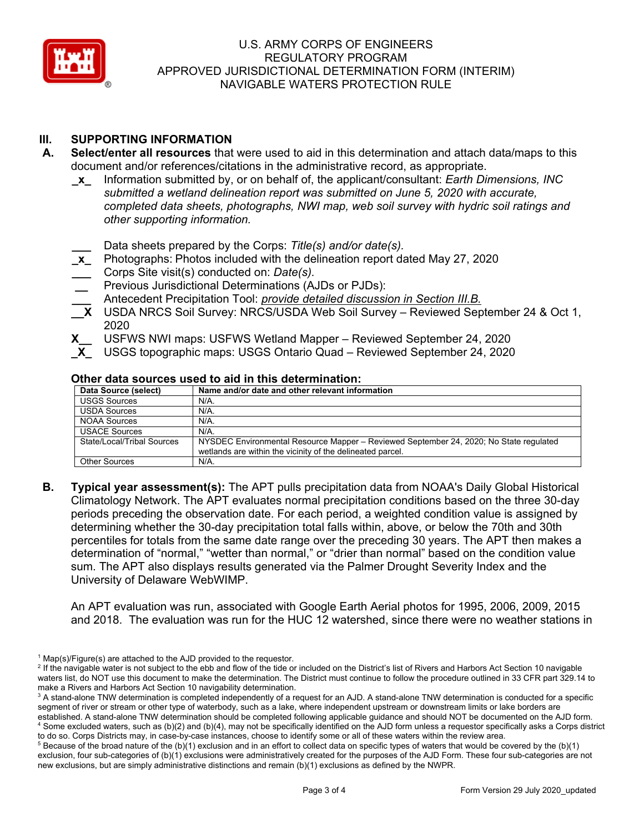

# **III. SUPPORTING INFORMATION**

- **A. Select/enter all resources** that were used to aid in this determination and attach data/maps to this document and/or references/citations in the administrative record, as appropriate.
	- **\_x\_** Information submitted by, or on behalf of, the applicant/consultant: *Earth Dimensions, INC submitted a wetland delineation report was submitted on June 5, 2020 with accurate, completed data sheets, photographs, NWI map, web soil survey with hydric soil ratings and other supporting information.* 
		- **\_\_\_** Data sheets prepared by the Corps: *Title(s) and/or date(s).*
	- **\_x\_** Photographs: Photos included with the delineation report dated May 27, 2020
	- **\_\_\_** Corps Site visit(s) conducted on: *Date(s).*
	- **\_\_** Previous Jurisdictional Determinations (AJDs or PJDs):
	- **\_\_\_** Antecedent Precipitation Tool: *provide detailed discussion in Section III.B.*
	- **\_\_X** USDA NRCS Soil Survey: NRCS/USDA Web Soil Survey Reviewed September 24 & Oct 1, 2020
	- **X\_\_** USFWS NWI maps: USFWS Wetland Mapper Reviewed September 24, 2020
		- **\_X\_** USGS topographic maps: USGS Ontario Quad Reviewed September 24, 2020

## **Other data sources used to aid in this determination:**

| Data Source (select)       | Name and/or date and other relevant information                                                                                                      |
|----------------------------|------------------------------------------------------------------------------------------------------------------------------------------------------|
| <b>USGS Sources</b>        | N/A.                                                                                                                                                 |
| <b>USDA Sources</b>        | N/A.                                                                                                                                                 |
| <b>NOAA Sources</b>        | N/A.                                                                                                                                                 |
| <b>USACE Sources</b>       | N/A.                                                                                                                                                 |
| State/Local/Tribal Sources | NYSDEC Environmental Resource Mapper – Reviewed September 24, 2020; No State regulated<br>wetlands are within the vicinity of the delineated parcel. |
| <b>Other Sources</b>       | N/A.                                                                                                                                                 |

**B. Typical year assessment(s):** The APT pulls precipitation data from NOAA's Daily Global Historical Climatology Network. The APT evaluates normal precipitation conditions based on the three 30-day periods preceding the observation date. For each period, a weighted condition value is assigned by determining whether the 30-day precipitation total falls within, above, or below the 70th and 30th percentiles for totals from the same date range over the preceding 30 years. The APT then makes a determination of "normal," "wetter than normal," or "drier than normal" based on the condition value sum. The APT also displays results generated via the Palmer Drought Severity Index and the University of Delaware WebWIMP.

An APT evaluation was run, associated with Google Earth Aerial photos for 1995, 2006, 2009, 2015 and 2018. The evaluation was run for the HUC 12 watershed, since there were no weather stations in

 $1$  Map(s)/Figure(s) are attached to the AJD provided to the requestor.

<sup>&</sup>lt;sup>2</sup> If the navigable water is not subject to the ebb and flow of the tide or included on the District's list of Rivers and Harbors Act Section 10 navigable waters list, do NOT use this document to make the determination. The District must continue to follow the procedure outlined in 33 CFR part 329.14 to make a Rivers and Harbors Act Section 10 navigability determination.

<sup>&</sup>lt;sup>3</sup> A stand-alone TNW determination is completed independently of a request for an AJD. A stand-alone TNW determination is conducted for a specific segment of river or stream or other type of waterbody, such as a lake, where independent upstream or downstream limits or lake borders are established. A stand-alone TNW determination should be completed following applicable guidance and should NOT be documented on the AJD form. <sup>4</sup> Some excluded waters, such as (b)(2) and (b)(4), may not be specifically identified on the AJD form unless a requestor specifically asks a Corps district to do so. Corps Districts may, in case-by-case instances, choose to identify some or all of these waters within the review area.

 $5$  Because of the broad nature of the (b)(1) exclusion and in an effort to collect data on specific types of waters that would be covered by the (b)(1) exclusion, four sub-categories of (b)(1) exclusions were administratively created for the purposes of the AJD Form. These four sub-categories are not new exclusions, but are simply administrative distinctions and remain (b)(1) exclusions as defined by the NWPR.